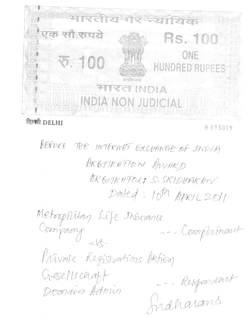

# दिल्मी DELHI

N 893019

BEFORE THE INTERNET EXCHANGE OF INDIA BRBITRATTON AWARD ORBITRAFORI S. SRIDUARAN Dated: 10th APRIL 2011

Metoopplitag Life Inswance --- Compainant Privare Registrations Aktion Sidharams Gesellschaft Domain Admin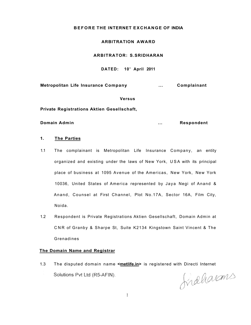# **BEFOR E THE INTERNET EXCHANGE OF INDIA**

## **ARBITRATION AWARD**

#### **ARBITRATOR: S.SRIDHARAN**

**DATED: 10<sup>t</sup> <sup>h</sup> April 2011** 

**Metropolitan Life Insurance Company ... Complainant** 

**Versus** 

**Private Registrations Aktien Gesellschaft,** 

**Domain Admin Domain Admin 1989 1989 1989 1989 1989 1989 1989 1989 1989 1989 1989 1989 1989** 

#### **1. The Parties**

- 1.1 The complainant is Metropolitan Life Insurance Company, an entity organized and existing under the laws of New York, USA with its principal place of business at 1095 Avenue of the Americas, New York, New York 10036, United States of America represented by Jaya Negi of Anand & Anand, Counsel at First Channel, Plot No.17A, Sector 16A, Film City, Noida.
- 1.2 Respondent is Private Registrations Aktien Gesellschaft, Domain Admin at CNR of Granby & Sharpe St, Suite K2134 Kingstown Saint Vincent & The Grenadines

## **The Domain Name and Registrar**

1.3 The disputed domain name **<metlife.in>** is registered with Directi Internet Solutions Pvt Ltd (R5-AFIN).

fraharms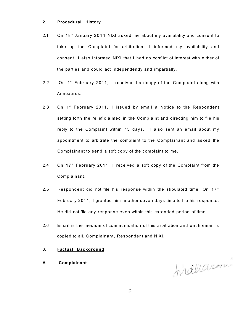## **2. Procedural History**

- 2.1 On 18<sup>th</sup> January 2011 NIXI asked me about my availability and consent to take up the Complaint for arbitration. I informed my availability and consent. I also informed NIXI that I had no conflict of interest with either of the parties and could act independently and impartially.
- 2.2 On 1<sup>st</sup> February 2011, I received hardcopy of the Complaint along with Annexures.
- 2.3 On 1<sup>st</sup> February 2011, I issued by email a Notice to the Respondent setting forth the relief claimed in the Complaint and directing him to file his reply to the Complaint within 15 days. I also sent an email about my appointment to arbitrate the complaint to the Complainant and asked the Complainant to send a soft copy of the complaint to me.
- 2.4 On 17<sup>th</sup> February 2011, I received a soft copy of the Complaint from the Complainant.
- 2.5 Respondent did not file his response within the stipulated time. On  $17<sup>th</sup>$ February 2011, I granted him another seven days time to file his response. He did not file any response even within this extended period of time.
- 2.6 Email is the medium of communication of this arbitration and each email is copied to all, Complainant, Respondent and NIXI.

## **3. Factual Background**

**A Complainant** 

Induarin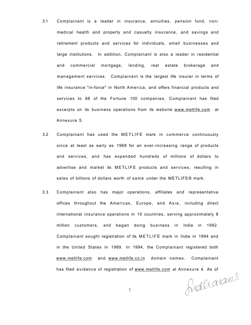- 3.1 Complainant is a leader in insurance, annuities, pension fund, nonmedical health and property and casualty insurance, and savings and retirement products and services for individuals, small businesses and large institutions. In addition, Complainant is also a leader in residential and commercial mortgage, lending, real estate brokerage and management services. Complainant is the largest life insurer in terms of life insurance "in-force" in North America, and offers financial products and services to 88 of the Fortune 100 companies. Complainant has filed excerpts on its business operations from its website [www.metlife.com](http://www.metlife.com) at Annexure 5.
- 3.2 Complainant has used the METLIFE mark in commerce continuously since at least as early as 1968 for an ever-increasing range of products and services, and has expended hundreds of millions of dollars to advertise and market its METLIFE products and services, resulting in sales of billions of dollars worth of same under the METLIFE® mark.
- 3.3 Complainant also has major operations, affiliates and representative offices throughout the Americas, Europe, and Asia, including direct international insurance operations in 10 countries, serving approximately 8 million customers, and began doing business in India in 1992. Complainant sought registration of its METLIFE mark in India in 1994 and in the United States in 1989. In 1994, the Complainant registered both [www.metlife.com a](http://www.metlife.com)nd [www.metlife.co.in](http://www.metlife.co.in) domain names. Complainant

has filed evidence of registration of <u>www.metlife.com</u> at Annexure 4. As of<br>  $\bigcap_{\mathcal{A}} \bigcap_{\mathcal{A}} \bigcap_{\mathcal{A}} \bigcap_{\mathcal{A}} \bigcap_{\mathcal{A}} \bigcap_{\mathcal{A}} \bigcap_{\mathcal{A}} \bigcap_{\mathcal{A}} \bigcap_{\mathcal{A}} \bigcap_{\mathcal{A}} \bigcap_{\mathcal{A}} \bigcap_{\mathcal{A}} \bigcap_{\mathcal{A}} \bigcap_{\mathcal{A}} \big$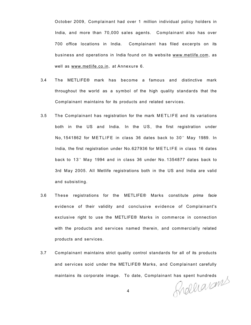October 2009, Complainant had over 1 million individual policy holders in India, and more than 70,000 sales agents. Complainant also has over 700 office locations in India. Complainant has filed excerpts on its business and operations in India found on its website [www.metlife.com,](http://www.metlife.com) as well as [www.metlife.co.in,](http://www.metlife.co.in) at Annexure 6.

- 3.4 The METLIFE® mark has become a famous and distinctive mark throughout the world as a symbol of the high quality standards that the Complainant maintains for its products and related services.
- 3.5 The Complainant has registration for the mark METLIFE and its variations both in the US and India. In the US, the first registration under No,1541862 for METLIFE in class 36 dates back to 30" May 1989. In India, the first registration under No.627936 for METLIFE in class 16 dates back to 13" May 1994 and in class 36 under No.1354877 dates back to 3rd May 2005. All Metlife registrations both in the US and India are valid and subsisting.
- 3.6 These registrations for the METLIFE® Marks constitute *prima facie*  evidence of their validity and conclusive evidence of Complainant's exclusive right to use the METLIFE® Marks in commerce in connection with the products and services named therein, and commercially related products and services.
- 3.7 Complainant maintains strict quality control standards for all of its products and services soid under the METLIFE® Marks, and Complainant carefully

maintains its corporate image. To date, Complainant has spent hundreds<br>4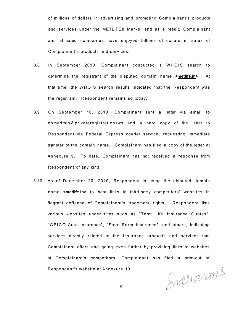of millions of dollars in advertising and promoting Complainant's products and services under the METLIFE® Marks, and as a result, Complainant and affiliated companies have enjoyed billions of dollars in sales of Complainant's products and services.

- 3.8 In September 2010, Complainant conducted a WHOIS search to determine the registrant of the disputed domain name **<metlife.in>** At that time, the WHOIS search results indicated that the Respondent was the registrant. Respondent remains so today.
- 3.9 On September 10, 2010, Complainant sent a letter via email to domadmin@privateregistrationsws and a hard copy of the letter to Respondent via Federal Express courier service, requesting immediate transfer of the domain name. Complainant has filed a copy of the letter at Annexure 9. To date, Complainant has not received a response from Respondent of any kind.
- 3.10 As of December 20, 2010, Respondent is using the disputed domain name **<metlife.in>** to host links to third-party competitors' websites in flagrant defiance of Complainant's trademark rights. Respondent lists various websites under titles such as "Term Life Insurance Quotes", "GEIC O Auto Insurance", "State Farm Insurance", and others, indicating services directly related to the insurance products and services that Complainant offers and going even further by providing links to websites of Complainant's competitors. Complainant has filed a print-out of Respondent's website at Annexure 10.

Snallarams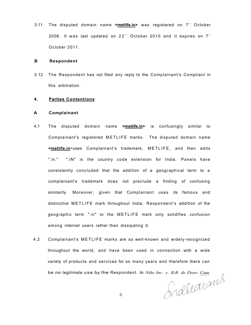3.11 The disputed domain name **<<u>metlife.in</u>>** was registered on 7<sup>th</sup> October 2006. It was last updated on 22 $^{\circ}$  October 2010 and it expires on 7 $^{\circ}$ October 2011.

#### **B Respondent**

3.12 The Respondent has not filed any reply to the Complainant's Compliant in this arbitration.

# **4. Parties Contentions**

#### **A Complainant**

- 4.1 The disputed domain name **<metlife.in>** is confusingly similar to Complainant's registered METLIFE marks. The disputed domain name **<metlife.in**>uses Complainant's trademark, METLIFE , and then adds ".in." ".IN" is the country code extension for India. Panels have consistently concluded that the addition of a geographical term to a complainant's trademark does not preclude a finding of confusing similarity. Moreover, given that Complainant uses its famous and distinctive METLIFE mark throughout India, Respondent's addition of the geographic term ".in" to the METLIFE mark only solidifies confusion among internet users rather than dissipating it.
- 4.2 Complainant's METLIFE marks are so well-known and widely-recognized throughout the world, and have been used in connection with a wide variety of products and services for so many years and therefore there can be no legitimate use by the Respondent. In *Nike Inc. v. B.B. de Doer*, <u>Case</u><br> $\bigcap_{A \in \mathcal{A}} \bigcap_{A \in \mathcal{A}} \bigcap_{A \in \mathcal{A}} \bigcap_{A \in \mathcal{A}} \bigcap_{A \in \mathcal{A}} \bigcap_{A \in \mathcal{A}} \bigcap_{A \in \mathcal{A}} \bigcap_{A \in \mathcal{A}} \bigcap_{A \in \mathcal{A}} \bigcap_{A \in \mathcal{A}} \bigcap_{A \in \mathcal{$

6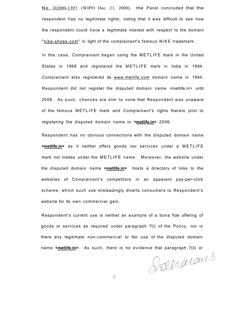No. D2000-1397. (WIPO Dec. 21, 2000). the Panel concluded that the respondent had no legitimate rights, noting that it was difficult to see how the respondent could have a legitimate interest with respect to the domain "[nike-shoes.com"](http://nike-shoes.com) in light of the complainant's famous NiKE trademark.

In this case, Complainant began using the METLIFE mark in the United States in 1968 and registered the METLIFE mark in India in 1994. Complainant also registered its [www.metlife.com d](http://www.metlife.com)omain name in 1994. Respondent did not register the disputed domain name <metlife.in> until 2006. As such, chances are slim to none that Respondent was unaware of the famous METLIFE mark and Complainant's rights thereto prior to registering the disputed domain name in **<metlife.in>** 2006.

Respondent has no obvious connections with the disputed domain name **<metlife.in>** as it neither offers goods nor services under a METLIFE mark nor trades under the METLIFE name. Moreover, the website under the disputed domain name **<metlife.in>** hosts a directory of links to the websites of Complainant's competitors in an apparent pay-per-click scheme, which such use misleadingly diverts consumers to Respondent's website for its own commercial gain.

Respondent's current use is neither an example of a bona fide offering of goods or services as required under paragraph 7(i) of the Policy, nor is there any legitimate non-commercial or fair use of the disputed domain name **<metlife.in>.** As such, there is no evidence that paragraph 7(ii) or

Shaharams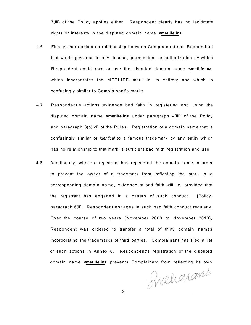7(iii) of the Policy applies either. Respondent clearly has no legitimate rights or interests in the disputed domain name **<metlife.in>.** 

- 4.6 Finally, there exists no relationship between Complainant and Respondent that would give rise to any license, permission, or authorization by which Respondent could own or use the disputed domain name **<metlife.in>,**  which incorporates the METLIFE mark in its entirety and which is confusingly similar to Complainant's marks.
- 4.7 Respondent's actions evidence bad faith in registering and using the disputed domain name **<metlife.in>** under paragraph 4(iii) of the Policy and paragraph 3(b)(vi) of the Rules. Registration of a domain name that is confusingly similar or *identical* to a famous trademark by any entity which has no relationship to that mark is sufficient bad faith registration and use.
- 4.8 Additionally, where a registrant has registered the domain name in order to prevent the owner of a trademark from reflecting the mark in a corresponding domain name, evidence of bad faith will lie, provided that the registrant has engaged in a pattern of such conduct. [Policy, paragraph 6(ii)] Respondent engages in such bad faith conduct regularly. Over the course of two years (November 2008 to November 2010), Respondent was ordered to transfer a total of thirty domain names incorporating the trademarks of third parties. Complainant has filed a list of such actions in Annex 8. Respondent's registration of the disputed domain name **<metlife.in>** prevents Complainant from reflecting its own

Fraharans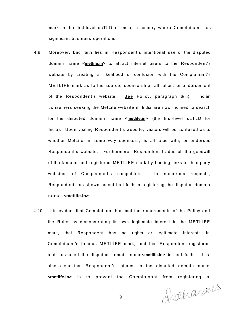mark in the first-level ccTLD of India, a country where Complainant has significant business operations.

- 4.9 Moreover, bad faith lies in Respondent's intentional use of the disputed domain name **<metlife.in>** to attract internet users to the Respondent's website by creating a likelihood of confusion with the Complainant's METLIFE mark as to the source, sponsorship, affiliation, or endorsement of the Respondent's website. See Policy, paragraph 6(iii). Indian consumers seeking the MetLife website in India are now inclined to search for the disputed domain name <metlife.in> (the first-level ccTLD for India). Upon visiting Respondent's website, visitors will be confused as to whether MetLife in some way sponsors, is affiliated with, or endorses Respondent's website. Furthermore, Respondent trades off the goodwill of the famous and registered METLIFE mark by hosting links to third-party websites of Complainant's competitors. In numerous respects, Respondent has shown patent bad faith in registering the disputed domain name **<metlife.in>**
- 4.10 It is evident that Complainant has met the requirements of the Policy and the Rules by demonstrating its own legitimate interest in the METLIFE mark, that Respondent has no rights or legitimate interests in Complainant's famous METLIFE mark, and that Respondent registered and has used the disputed domain name **<metlife.in>** in bad faith. It is also clear that Respondent's interest in the disputed domain name **<metlife.in>** is to prevent the Complainant from registering a

Sidelarans

 $\circ$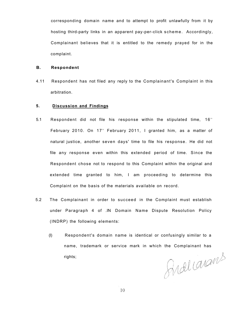corresponding domain name and to attempt to profit unlawfully from it by hosting third-party links in an apparent pay-per-click scheme. Accordingly, Complainant believes that it is entitled to the remedy prayed for in the complaint.

## **B. Respondent**

4.11 Respondent has not filed any reply to the Complainant's Complaint in this arbitration.

## **5. Discussion and Findings**

- 5.1 Respondent did not file his response within the stipulated time,  $16<sup>th</sup>$ February 2010. On 17th February 2011, I granted him, as a matter of natural justice, another seven days' time to file his response. He did not file any response even within this extended period of time. Since the Respondent chose not to respond to this Complaint within the original and extended time granted to him, I am proceeding to determine this Complaint on the basis of the materials available on record.
- 5.2 The Complainant in order to succeed in the Complaint must establish under Paragraph 4 of .IN Domain Name Dispute Resolution Policy (INDRP) the following elements:
	- (I) Respondent's domain name is identical or confusingly similar to a name, trademark or service mark in which the Complainant has rights;

Ardicarans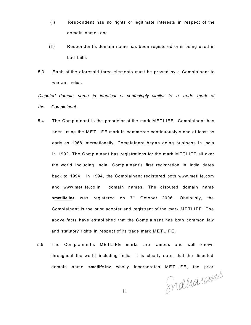- (II) Respondent has no rights or legitimate interests in respect of the domain name; and
- (II!) Respondent's domain name has been registered or is being used in bad faith.
- 5.3 Each of the aforesaid three elements must be proved by a Complainant to warrant relief.

*Disputed domain name is identical or confusingly similar to a trade mark of the Complainant.* 

- 5.4 The Complainant is the proprietor of the mark METLIFE. Complainant has been using the METLIFE mark in commerce continuously since at least as early as 1968 internationally. Complainant began doing business in India in 1992. The Complainant has registrations for the mark METLIFE all over the world including India. Complainant's first registration in India dates back to 1994. In 1994, the Complainant registered both [www.metlife.com](http://www.metlife.com) and [www.metlife.co.in d](http://www.metlife.co.in)omain names. The disputed domain name **<<u>metlife.in</u>>** was registered on 7<sup>th</sup> October 2006. Obviously, the Complainant is the prior adopter and registrant of the mark METLIFE. The above facts have established that the Complainant has both common law and statutory rights in respect of its trade mark METLIFE .
- 5.5 The Complainant's METLIFE marks are famous and well known throughout the world including India. It is clearly seen that the disputed

domain name **<metlife.in>** wholly incorporates METLIFE, the prior

11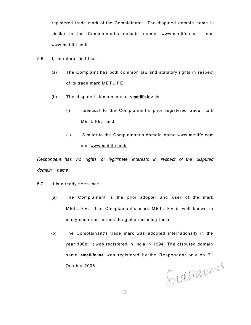registered trade mark of the Complainant. The disputed domain name is similar to the Complainant's domain names [www.metlife.com a](http://www.metlife.com)nd [www.metlife.co.in .](http://www.metlife.co.in)

- 5.6 I, therefore, find that:
	- (a) The Complaint has both common law and statutory rights in respect of its trade mark METLIFE.
	- (b) The disputed domain name **<metlife.in>** is:
		- (i) Identical to the Complainant's prior registered trade mark METLIFE, and
		- (ii) Similar to the Complainant's domain name [www.metlife.com](http://www.metlife.com) and [www.metlife.co.in](http://www.metlife.co.in) .

*Respondent has no rights or legitimate interests in respect of the disputed domain name* 

5.7 It is already seen that:

- (a) The Complainant is the prior adopter and user of the mark METLIFE. The Complainant's mark METLIFE is well known in many countries across the globe including India.
- (b) The Complainant's trade mark was adopted internationally in the year 1968. It was registered in India in 1994. The disputed domain name <metlife.in> was registered by the Respondent only on 7<sup>th</sup> October 2006.

Sinalianans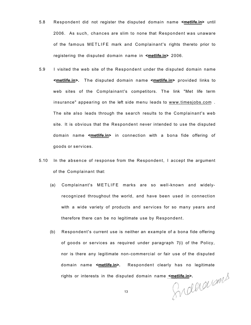- 5.8 Respondent did not register the disputed domain name **<metlife.in>** until 2006. As such, chances are slim to none that Respondent was unaware of the famous METLIFE mark and Complainant's rights thereto prior to registering the disputed domain name in **<metlife.in>** 2006.
- 5.9 I visited the web site of the Respondent under the disputed domain name **<metlife.in>.** The disputed domain name **<metlife.in>** provided links to web sites of the Complainant's competitors. The link "Met life term insurance" appearing on the left side menu leads to [www.timesjobs.com](http://www.timesjobs.com) . The site also leads through the search results to the Complainant's web site. It is obvious that the Respondent never intended to use the disputed domain name **<metlife.in>** in connection with a bona fide offering of goods or services.
- 5.10 In the absence of response from the Respondent, I accept the argument of the Complainant that:
	- (a) Complainant's METLIFE marks are so well-known and widelyrecognized throughout the world, and have been used in connection with a wide variety of products and services for so many years and therefore there can be no legitimate use by Respondent.
	- (b) Respondent's current use is neither an example of a bona fide offering of goods or services as required under paragraph 7(i) of the Policy, nor is there any legitimate non-commercial or fair use of the disputed domain name **<metlife.in>.** Respondent clearly has no legitimate rights or interests in the disputed domain name <u><metlife.in</u>>.<br>
	13

13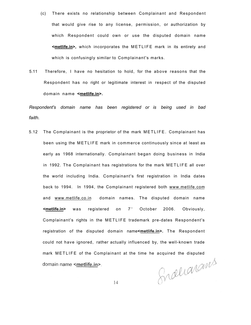- (c) There exists no relationship between Complainant and Respondent that would give rise to any license, permission, or authorization by which Respondent could own or use the disputed domain name **<metlife.in>,** which incorporates the METLIFE mark in its entirety and which is confusingly similar to Complainant's marks.
- 5.11 Therefore, I have no hesitation to hold, for the above reasons that the Respondent has no right or legitimate interest in respect of the disputed domain name **<metlife.in>.**

*Respondent's domain name has been registered or is being used in bad faith.* 

5.12 The Complainant is the proprietor of the mark METLIFE. Complainant has been using the METLIFE mark in commerce continuously since at least as early as 1968 internationally. Complainant began doing business in India in 1992. The Complainant has registrations for the mark METLIFE all over the world including India. Complainant's first registration in India dates back to 1994. In 1994, the Complainant registered both [www.metlife.com](http://www.metlife.com) and [www.metlife.co.in d](http://www.metlife.co.in)omain names. The disputed domain name **<metlife.in>** was registered on 7<sup>th</sup> October 2006. Obviously, Complainant's rights in the METLIFE trademark pre-dates Respondent's registration of the disputed domain name<metlife.in>. The Respondent could not have ignored, rather actually influenced by, the well-known trade mark METLIFE of the Complainant at the time he acquired the disputed Snalianams domain name <metlife.in>.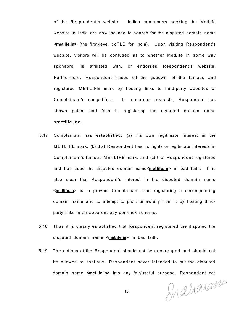of the Respondent's website. Indian consumers seeking the MetLife website in India are now inclined to search for the disputed domain name **<metlife.in>** (the first-level ccTLD for India). Upon visiting Respondent's website, visitors will be confused as to whether MetLife in some way sponsors, is affiliated with, or endorses Respondent's website. Furthermore, Respondent trades off the goodwill of the famous and registered METLIFE mark by hosting links to third-party websites of Complainant's competitors. In numerous respects, Respondent has shown patent bad faith in registering the disputed domain name **<metlife.in>.** 

- 5.17 Complainant has established: (a) his own legitimate interest in the METLIFE mark, (b) that Respondent has no rights or legitimate interests in Complainant's famous METLIFE mark, and (c) that Respondent registered and has used the disputed domain name**<metlife.in>** in bad faith. It is also clear that Respondent's interest in the disputed domain name **<metlife.in>** is to prevent Complainant from registering a corresponding domain name and to attempt to profit unlawfully from it by hosting thirdparty links in an apparent pay-per-click scheme.
- 5.18 Thus it is clearly established that Respondent registered the disputed the disputed domain name **<metlife.in>** in bad faith.
- 5.19 The actions of the Respondent should not be encouraged and should not be allowed to continue. Respondent never intended to put the disputed domain name **<metlife.in>** into any fair/useful purpose. Respondent not

Snahanam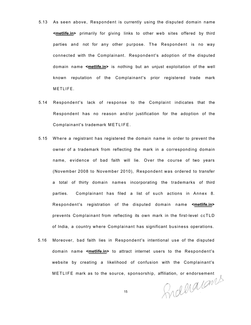- 5.13 As seen above, Respondent is currently using the disputed domain name **<metlife.in>** primarily for giving links to other web sites offered by third parties and not for any other purpose. The Respondent is no way connected with the Complainant. Respondent's adoption of the disputed domain name **<metlife.in>** is nothing but an unjust exploitation of the well known reputation of the Complainant's prior registered trade mark METLIFE.
- 5.14 Respondent's lack of response to the Complaint indicates that the Respondent has no reason and/or justification for the adoption of the Complainant's trademark METLIFE.
- 5.15 Where a registrant has registered the domain name in order to prevent the owner of a trademark from reflecting the mark in a corresponding domain name, evidence of bad faith will lie. Over the course of two years (November 2008 to November 2010), Respondent was ordered to transfer a total of thirty domain names incorporating the trademarks of third parties. Complainant has filed a list of such actions in Annex 8. Respondent's registration of the disputed domain name **<metlife.in>**  prevents Complainant from reflecting its own mark in the first-level ccTLD of India, a country where Complainant has significant business operations.
- 5.16 Moreover, bad faith lies in Respondent's intentional use of the disputed domain name **<metlife.in>** to attract internet users to the Respondent's website by creating a likelihood of confusion with the Complainant's

METLIFE mark as to the source, sponsorship, affiliation, or endorsement<br>15